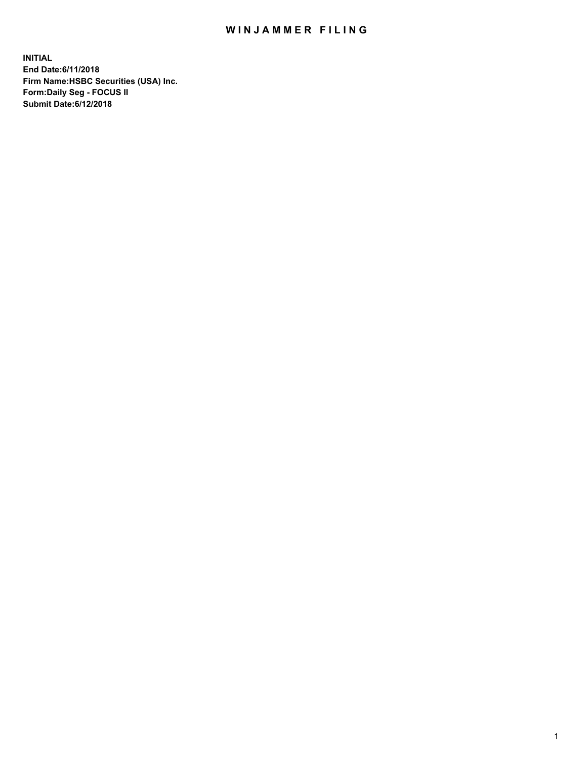## WIN JAMMER FILING

**INITIAL End Date:6/11/2018 Firm Name:HSBC Securities (USA) Inc. Form:Daily Seg - FOCUS II Submit Date:6/12/2018**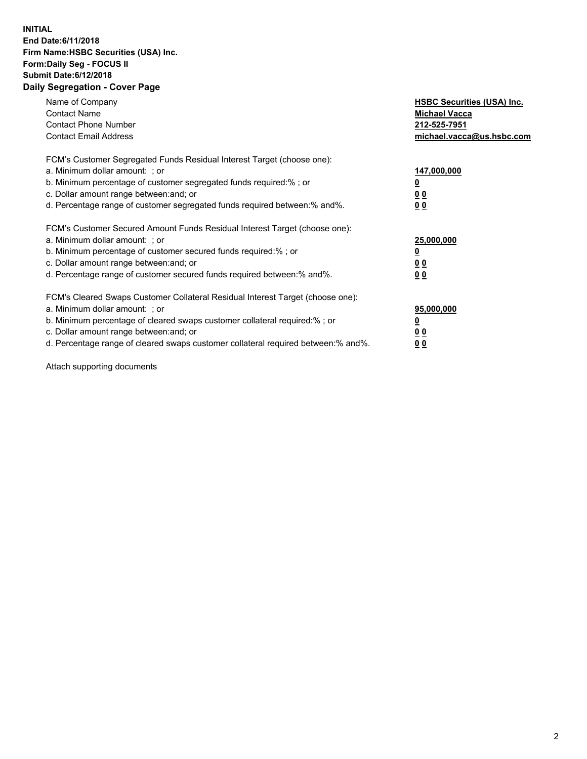## **INITIAL End Date:6/11/2018 Firm Name:HSBC Securities (USA) Inc. Form:Daily Seg - FOCUS II Submit Date:6/12/2018 Daily Segregation - Cover Page**

| Name of Company<br><b>Contact Name</b><br><b>Contact Phone Number</b><br><b>Contact Email Address</b>                                                                                                                                                                                                                         | <b>HSBC Securities (USA) Inc.</b><br><b>Michael Vacca</b><br>212-525-7951<br>michael.vacca@us.hsbc.com |
|-------------------------------------------------------------------------------------------------------------------------------------------------------------------------------------------------------------------------------------------------------------------------------------------------------------------------------|--------------------------------------------------------------------------------------------------------|
| FCM's Customer Segregated Funds Residual Interest Target (choose one):<br>a. Minimum dollar amount: ; or<br>b. Minimum percentage of customer segregated funds required:%; or<br>c. Dollar amount range between: and; or<br>d. Percentage range of customer segregated funds required between: % and %.                       | 147,000,000<br><u>0</u><br><u>00</u><br>00                                                             |
| FCM's Customer Secured Amount Funds Residual Interest Target (choose one):<br>a. Minimum dollar amount: ; or<br>b. Minimum percentage of customer secured funds required:%; or<br>c. Dollar amount range between: and; or<br>d. Percentage range of customer secured funds required between: % and %.                         | 25,000,000<br><u>0</u><br><u>00</u><br>00                                                              |
| FCM's Cleared Swaps Customer Collateral Residual Interest Target (choose one):<br>a. Minimum dollar amount: ; or<br>b. Minimum percentage of cleared swaps customer collateral required:%; or<br>c. Dollar amount range between: and; or<br>d. Percentage range of cleared swaps customer collateral required between:% and%. | 95,000,000<br><u>0</u><br><u>00</u><br><u>00</u>                                                       |

Attach supporting documents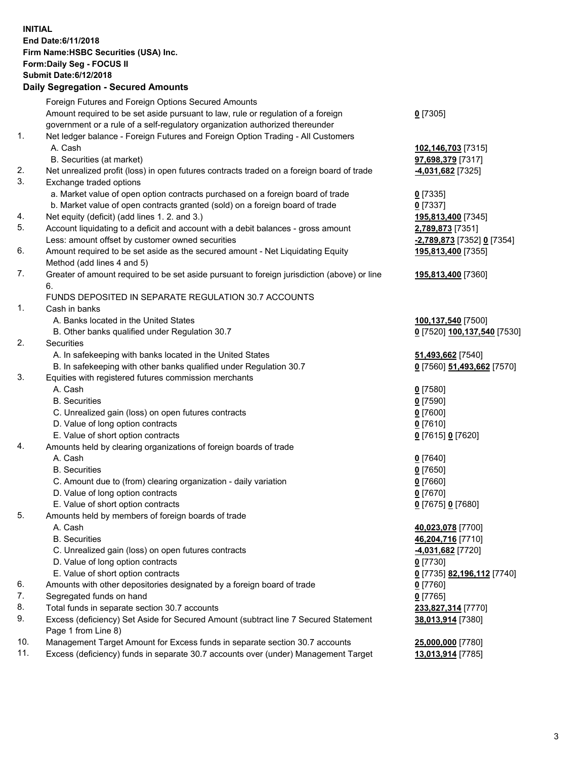**INITIAL End Date:6/11/2018 Firm Name:HSBC Securities (USA) Inc. Form:Daily Seg - FOCUS II Submit Date:6/12/2018 Daily Segregation - Secured Amounts**

|     | Daily Segregation - Secured Amounts                                                               |                                          |
|-----|---------------------------------------------------------------------------------------------------|------------------------------------------|
|     | Foreign Futures and Foreign Options Secured Amounts                                               |                                          |
|     | Amount required to be set aside pursuant to law, rule or regulation of a foreign                  | $0$ [7305]                               |
|     | government or a rule of a self-regulatory organization authorized thereunder                      |                                          |
| 1.  | Net ledger balance - Foreign Futures and Foreign Option Trading - All Customers                   |                                          |
|     | A. Cash                                                                                           | 102,146,703 [7315]                       |
|     | B. Securities (at market)                                                                         | 97,698,379 [7317]                        |
| 2.  | Net unrealized profit (loss) in open futures contracts traded on a foreign board of trade         | 4,031,682 [7325]                         |
| 3.  | Exchange traded options                                                                           |                                          |
|     | a. Market value of open option contracts purchased on a foreign board of trade                    | $0$ [7335]                               |
|     | b. Market value of open contracts granted (sold) on a foreign board of trade                      | $0$ [7337]                               |
| 4.  | Net equity (deficit) (add lines 1.2. and 3.)                                                      | 195,813,400 [7345]                       |
| 5.  | Account liquidating to a deficit and account with a debit balances - gross amount                 | 2,789,873 [7351]                         |
|     | Less: amount offset by customer owned securities                                                  |                                          |
| 6.  |                                                                                                   | 2,789,873 [7352] 0 [7354]                |
|     | Amount required to be set aside as the secured amount - Net Liquidating Equity                    | 195,813,400 [7355]                       |
| 7.  | Method (add lines 4 and 5)                                                                        |                                          |
|     | Greater of amount required to be set aside pursuant to foreign jurisdiction (above) or line<br>6. | 195,813,400 [7360]                       |
|     | FUNDS DEPOSITED IN SEPARATE REGULATION 30.7 ACCOUNTS                                              |                                          |
| 1.  | Cash in banks                                                                                     |                                          |
|     | A. Banks located in the United States                                                             | 100,137,540 [7500]                       |
|     | B. Other banks qualified under Regulation 30.7                                                    | 0 [7520] 100,137,540 [7530]              |
| 2.  | Securities                                                                                        |                                          |
|     | A. In safekeeping with banks located in the United States                                         | 51,493,662 [7540]                        |
|     | B. In safekeeping with other banks qualified under Regulation 30.7                                | 0 [7560] 51,493,662 [7570]               |
| 3.  | Equities with registered futures commission merchants                                             |                                          |
|     | A. Cash                                                                                           | $0$ [7580]                               |
|     | <b>B.</b> Securities                                                                              | $0$ [7590]                               |
|     | C. Unrealized gain (loss) on open futures contracts                                               | $0$ [7600]                               |
|     | D. Value of long option contracts                                                                 | $0$ [7610]                               |
|     |                                                                                                   |                                          |
|     | E. Value of short option contracts                                                                | 0 [7615] 0 [7620]                        |
| 4.  | Amounts held by clearing organizations of foreign boards of trade                                 |                                          |
|     | A. Cash                                                                                           | $0$ [7640]                               |
|     | <b>B.</b> Securities                                                                              | $0$ [7650]                               |
|     | C. Amount due to (from) clearing organization - daily variation                                   | $0$ [7660]                               |
|     | D. Value of long option contracts                                                                 | $0$ [7670]                               |
|     | E. Value of short option contracts                                                                | 0 [7675] 0 [7680]                        |
| 5.  | Amounts held by members of foreign boards of trade                                                |                                          |
|     | A. Cash                                                                                           | 40,023,078 [7700]                        |
|     | <b>B.</b> Securities                                                                              | 46,204,716 [7710]                        |
|     | C. Unrealized gain (loss) on open futures contracts                                               | <b>4,031,682</b> [7720]                  |
|     | D. Value of long option contracts                                                                 | $0$ [7730]                               |
|     | E. Value of short option contracts                                                                | <u>0</u> [7735] <b>82,196,112</b> [7740] |
| 6.  | Amounts with other depositories designated by a foreign board of trade                            | 0 [7760]                                 |
| 7.  | Segregated funds on hand                                                                          | $0$ [7765]                               |
| 8.  | Total funds in separate section 30.7 accounts                                                     | 233,827,314 [7770]                       |
| 9.  | Excess (deficiency) Set Aside for Secured Amount (subtract line 7 Secured Statement               | 38,013,914 [7380]                        |
|     | Page 1 from Line 8)                                                                               |                                          |
| 10. | Management Target Amount for Excess funds in separate section 30.7 accounts                       | 25,000,000 [7780]                        |
| 11. | Excess (deficiency) funds in separate 30.7 accounts over (under) Management Target                | 13,013,914 [7785]                        |
|     |                                                                                                   |                                          |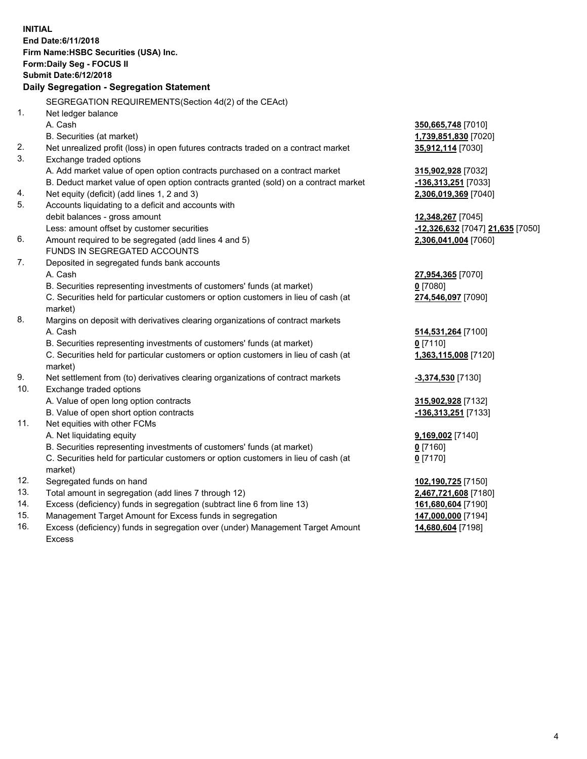**INITIAL End Date:6/11/2018 Firm Name:HSBC Securities (USA) Inc. Form:Daily Seg - FOCUS II Submit Date:6/12/2018 Daily Segregation - Segregation Statement** SEGREGATION REQUIREMENTS(Section 4d(2) of the CEAct) 1. Net ledger balance A. Cash **350,665,748** [7010] B. Securities (at market) **1,739,851,830** [7020] 2. Net unrealized profit (loss) in open futures contracts traded on a contract market **35,912,114** [7030] 3. Exchange traded options A. Add market value of open option contracts purchased on a contract market **315,902,928** [7032] B. Deduct market value of open option contracts granted (sold) on a contract market **-136,313,251** [7033] 4. Net equity (deficit) (add lines 1, 2 and 3) **2,306,019,369** [7040] 5. Accounts liquidating to a deficit and accounts with debit balances - gross amount **12,348,267** [7045] Less: amount offset by customer securities **-12,326,632** [7047] **21,635** [7050] 6. Amount required to be segregated (add lines 4 and 5) **2,306,041,004** [7060] FUNDS IN SEGREGATED ACCOUNTS 7. Deposited in segregated funds bank accounts A. Cash **27,954,365** [7070] B. Securities representing investments of customers' funds (at market) **0** [7080] C. Securities held for particular customers or option customers in lieu of cash (at market) **274,546,097** [7090] 8. Margins on deposit with derivatives clearing organizations of contract markets A. Cash **514,531,264** [7100] B. Securities representing investments of customers' funds (at market) **0** [7110] C. Securities held for particular customers or option customers in lieu of cash (at market) **1,363,115,008** [7120] 9. Net settlement from (to) derivatives clearing organizations of contract markets **-3,374,530** [7130] 10. Exchange traded options A. Value of open long option contracts **315,902,928** [7132] B. Value of open short option contracts **-136,313,251** [7133] 11. Net equities with other FCMs A. Net liquidating equity **9,169,002** [7140] B. Securities representing investments of customers' funds (at market) **0** [7160] C. Securities held for particular customers or option customers in lieu of cash (at market) **0** [7170] 12. Segregated funds on hand **102,190,725** [7150] 13. Total amount in segregation (add lines 7 through 12) **2,467,721,608** [7180] 14. Excess (deficiency) funds in segregation (subtract line 6 from line 13) **161,680,604** [7190] 15. Management Target Amount for Excess funds in segregation **147,000,000** [7194]

16. Excess (deficiency) funds in segregation over (under) Management Target Amount Excess

**14,680,604** [7198]